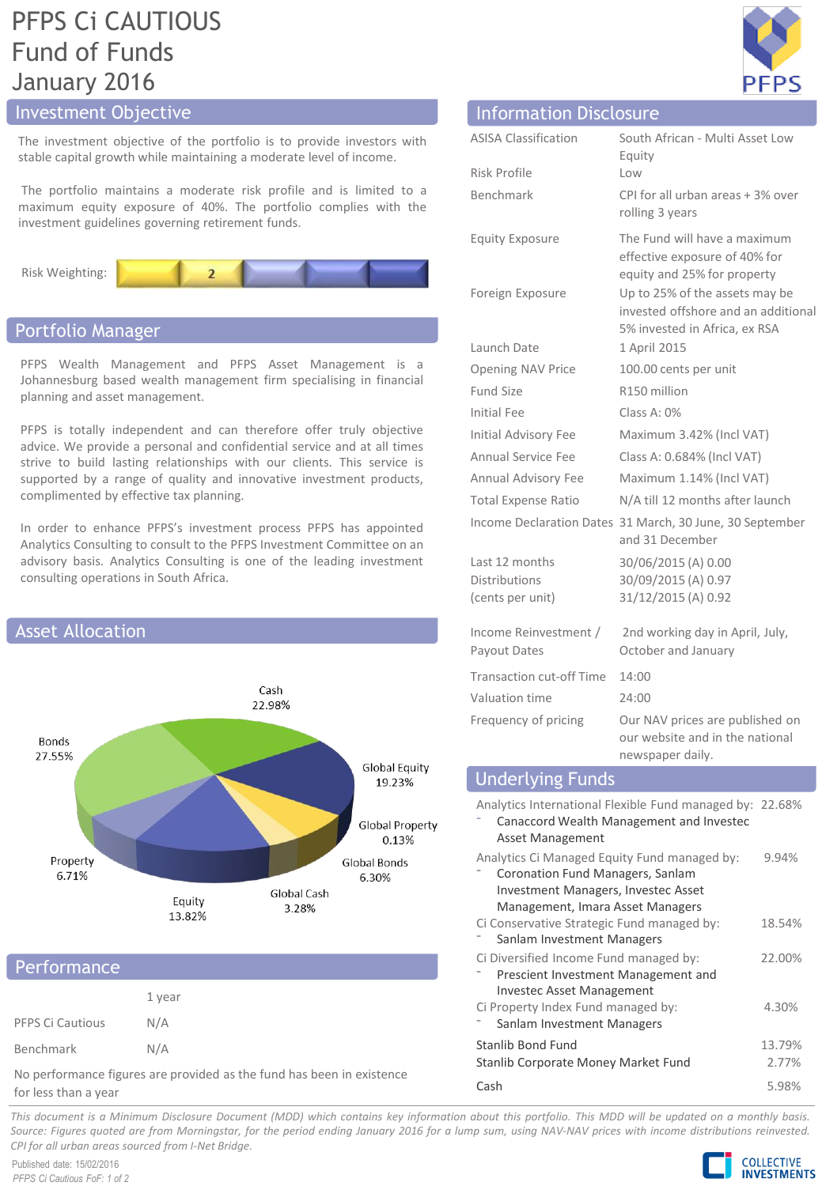# PFPS Ci CAUTIOUS Fund of Funds January 2016

# Investment Objective

The investment objective of the portfolio is to provide investors with stable capital growth while maintaining a moderate level of income.

The portfolio maintains a moderate risk profile and is limited to a maximum equity exposure of 40%. The portfolio complies with the investment guidelines governing retirement funds.



## Portfolio Manager

PFPS Wealth Management and PFPS Asset Management is a Johannesburg based wealth management firm specialising in financial planning and asset management.

PFPS is totally independent and can therefore offer truly objective advice. We provide a personal and confidential service and at all times strive to build lasting relationships with our clients. This service is supported by a range of quality and innovative investment products, complimented by effective tax planning.

In order to enhance PFPS's investment process PFPS has appointed Analytics Consulting to consult to the PFPS Investment Committee on an advisory basis. Analytics Consulting is one of the leading investment consulting operations in South Africa.



## Performance

|                  | 1 year |
|------------------|--------|
| PFPS Ci Cautious | N/A    |
| Benchmark        | N/A    |

No performance figures are provided as the fund has been in existence for less than a year



| <b>Information Disclosure</b>                              |                                                                                                        |
|------------------------------------------------------------|--------------------------------------------------------------------------------------------------------|
| <b>ASISA Classification</b>                                | South African - Multi Asset Low<br>Equity                                                              |
| Risk Profile                                               | Low                                                                                                    |
| Benchmark                                                  | CPI for all urban areas + 3% over<br>rolling 3 years                                                   |
| <b>Equity Exposure</b>                                     | The Fund will have a maximum<br>effective exposure of 40% for<br>equity and 25% for property           |
| Foreign Exposure                                           | Up to 25% of the assets may be<br>invested offshore and an additional<br>5% invested in Africa, ex RSA |
| Launch Date                                                | 1 April 2015                                                                                           |
| <b>Opening NAV Price</b>                                   | 100.00 cents per unit                                                                                  |
| <b>Fund Size</b>                                           | R150 million                                                                                           |
| <b>Initial Fee</b>                                         | Class A: 0%                                                                                            |
| Initial Advisory Fee                                       | Maximum 3.42% (Incl VAT)                                                                               |
| <b>Annual Service Fee</b>                                  | Class A: 0.684% (Incl VAT)                                                                             |
| Annual Advisory Fee                                        | Maximum 1.14% (Incl VAT)                                                                               |
| <b>Total Expense Ratio</b>                                 | N/A till 12 months after launch                                                                        |
|                                                            | Income Declaration Dates 31 March, 30 June, 30 September<br>and 31 December                            |
| Last 12 months<br><b>Distributions</b><br>(cents per unit) | 30/06/2015 (A) 0.00<br>30/09/2015 (A) 0.97<br>31/12/2015 (A) 0.92                                      |
| Income Reinvestment /<br>Payout Dates                      | 2nd working day in April, July,<br>October and January                                                 |
| <b>Transaction cut-off Time</b>                            | 14:00                                                                                                  |
| Valuation time                                             | 24:00                                                                                                  |
| Frequency of pricing                                       | Our NAV prices are published on<br>our website and in the national<br>newspaper daily.                 |

| <b>Underlying Funds</b>                                                                                                                                            |        |
|--------------------------------------------------------------------------------------------------------------------------------------------------------------------|--------|
| Analytics International Flexible Fund managed by: 22.68%<br>Canaccord Wealth Management and Investec<br>Asset Management                                           |        |
| Analytics Ci Managed Equity Fund managed by:<br>Coronation Fund Managers, Sanlam<br><b>Investment Managers, Investec Asset</b><br>Management, Imara Asset Managers | 9.94%  |
| Ci Conservative Strategic Fund managed by:<br>Sanlam Investment Managers                                                                                           | 18.54% |
| Ci Diversified Income Fund managed by:<br>Prescient Investment Management and<br><b>Investec Asset Management</b>                                                  | 22.00% |
| Ci Property Index Fund managed by:                                                                                                                                 | 4.30%  |

| -<br>Sanlam Investment Managers     |        |
|-------------------------------------|--------|
| Stanlib Bond Fund                   | 13.79% |
| Stanlib Corporate Money Market Fund | 2.77%  |
| Cash                                | 5.98%  |

This document is a Minimum Disclosure Document (MDD) which contains key information about this portfolio. This MDD will be updated on a monthly basis. Source: Figures guoted are from Morningstar, for the period ending January 2016 for a lump sum, using NAV-NAV prices with income distributions reinvested. *CPI for all urban areas sourced from I-Net Bridge.*